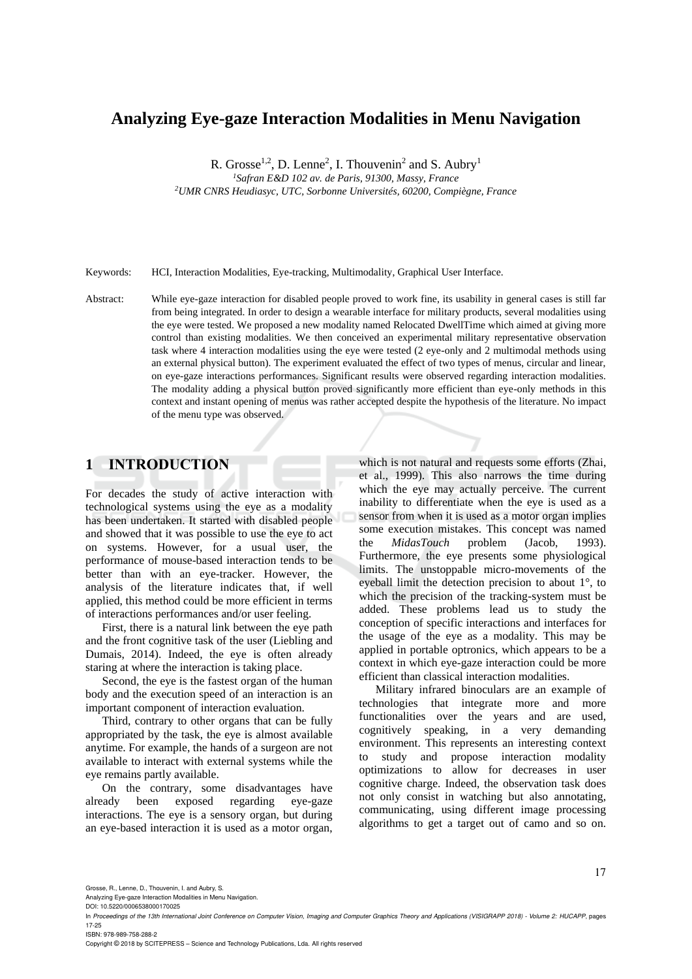# **Analyzing Eye-gaze Interaction Modalities in Menu Navigation**

R. Grosse<sup>1,2</sup>, D. Lenne<sup>2</sup>, I. Thouvenin<sup>2</sup> and S. Aubry<sup>1</sup>

*<sup>1</sup>Safran E&D 102 av. de Paris, 91300, Massy, France*

*<sup>2</sup>UMR CNRS Heudiasyc, UTC, Sorbonne Universités, 60200, Compiègne, France*

Keywords: HCI, Interaction Modalities, Eye-tracking, Multimodality, Graphical User Interface.

Abstract: While eye-gaze interaction for disabled people proved to work fine, its usability in general cases is still far from being integrated. In order to design a wearable interface for military products, several modalities using the eye were tested. We proposed a new modality named Relocated DwellTime which aimed at giving more control than existing modalities. We then conceived an experimental military representative observation task where 4 interaction modalities using the eye were tested (2 eye-only and 2 multimodal methods using an external physical button). The experiment evaluated the effect of two types of menus, circular and linear, on eye-gaze interactions performances. Significant results were observed regarding interaction modalities. The modality adding a physical button proved significantly more efficient than eye-only methods in this context and instant opening of menus was rather accepted despite the hypothesis of the literature. No impact of the menu type was observed.

## **1 INTRODUCTION**

For decades the study of active interaction with technological systems using the eye as a modality has been undertaken. It started with disabled people and showed that it was possible to use the eye to act on systems. However, for a usual user, the performance of mouse-based interaction tends to be better than with an eye-tracker. However, the analysis of the literature indicates that, if well applied, this method could be more efficient in terms of interactions performances and/or user feeling.

First, there is a natural link between the eye path and the front cognitive task of the user (Liebling and Dumais, 2014). Indeed, the eye is often already staring at where the interaction is taking place.

Second, the eye is the fastest organ of the human body and the execution speed of an interaction is an important component of interaction evaluation.

Third, contrary to other organs that can be fully appropriated by the task, the eye is almost available anytime. For example, the hands of a surgeon are not available to interact with external systems while the eye remains partly available.

On the contrary, some disadvantages have already been exposed regarding eye-gaze interactions. The eye is a sensory organ, but during an eye-based interaction it is used as a motor organ,

which is not natural and requests some efforts (Zhai, et al., 1999). This also narrows the time during which the eye may actually perceive. The current inability to differentiate when the eye is used as a sensor from when it is used as a motor organ implies some execution mistakes. This concept was named the *MidasTouch* problem (Jacob, 1993). Furthermore, the eye presents some physiological limits. The unstoppable micro-movements of the eyeball limit the detection precision to about 1°, to which the precision of the tracking-system must be added. These problems lead us to study the conception of specific interactions and interfaces for the usage of the eye as a modality. This may be applied in portable optronics, which appears to be a context in which eye-gaze interaction could be more efficient than classical interaction modalities.

Military infrared binoculars are an example of technologies that integrate more and more functionalities over the years and are used, cognitively speaking, in a very demanding environment. This represents an interesting context to study and propose interaction modality optimizations to allow for decreases in user cognitive charge. Indeed, the observation task does not only consist in watching but also annotating, communicating, using different image processing algorithms to get a target out of camo and so on.

Analyzing Eye-gaze Interaction Modalities in Menu Navigation. DOI: 10.5220/0006538000170025

ISBN: 978-989-758-288-2

Copyright © 2018 by SCITEPRESS – Science and Technology Publications, Lda. All rights reserved

In *Proceedings of the 13th International Joint Conference on Computer Vision, Imaging and Computer Graphics Theory and Applications (VISIGRAPP 2018) - Volume 2: HUCAPP*, pages 17-25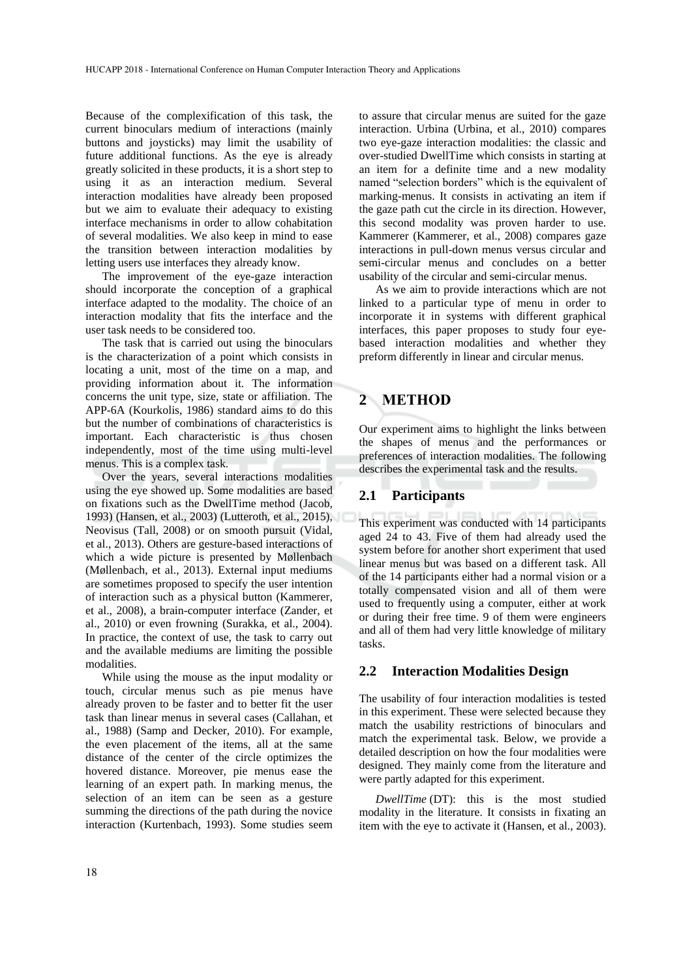Because of the complexification of this task, the current binoculars medium of interactions (mainly buttons and joysticks) may limit the usability of future additional functions. As the eye is already greatly solicited in these products, it is a short step to using it as an interaction medium. Several interaction modalities have already been proposed but we aim to evaluate their adequacy to existing interface mechanisms in order to allow cohabitation of several modalities. We also keep in mind to ease the transition between interaction modalities by letting users use interfaces they already know.

The improvement of the eye-gaze interaction should incorporate the conception of a graphical interface adapted to the modality. The choice of an interaction modality that fits the interface and the user task needs to be considered too.

The task that is carried out using the binoculars is the characterization of a point which consists in locating a unit, most of the time on a map, and providing information about it. The information concerns the unit type, size, state or affiliation. The APP-6A (Kourkolis, 1986) standard aims to do this but the number of combinations of characteristics is important. Each characteristic is thus chosen independently, most of the time using multi-level menus. This is a complex task.

Over the years, several interactions modalities using the eye showed up. Some modalities are based on fixations such as the DwellTime method (Jacob, 1993) (Hansen, et al., 2003) (Lutteroth, et al., 2015), Neovisus (Tall, 2008) or on smooth pursuit (Vidal, et al., 2013). Others are gesture-based interactions of which a wide picture is presented by Møllenbach (Møllenbach, et al., 2013). External input mediums are sometimes proposed to specify the user intention of interaction such as a physical button (Kammerer, et al., 2008), a brain-computer interface (Zander, et al., 2010) or even frowning (Surakka, et al., 2004). In practice, the context of use, the task to carry out and the available mediums are limiting the possible modalities.

While using the mouse as the input modality or touch, circular menus such as pie menus have already proven to be faster and to better fit the user task than linear menus in several cases (Callahan, et al., 1988) (Samp and Decker, 2010). For example, the even placement of the items, all at the same distance of the center of the circle optimizes the hovered distance. Moreover, pie menus ease the learning of an expert path. In marking menus, the selection of an item can be seen as a gesture summing the directions of the path during the novice interaction (Kurtenbach, 1993). Some studies seem

to assure that circular menus are suited for the gaze interaction. Urbina (Urbina, et al., 2010) compares two eye-gaze interaction modalities: the classic and over-studied DwellTime which consists in starting at an item for a definite time and a new modality named "selection borders" which is the equivalent of marking-menus. It consists in activating an item if the gaze path cut the circle in its direction. However, this second modality was proven harder to use. Kammerer (Kammerer, et al., 2008) compares gaze interactions in pull-down menus versus circular and semi-circular menus and concludes on a better usability of the circular and semi-circular menus.

As we aim to provide interactions which are not linked to a particular type of menu in order to incorporate it in systems with different graphical interfaces, this paper proposes to study four eyebased interaction modalities and whether they preform differently in linear and circular menus.

## **2 METHOD**

Our experiment aims to highlight the links between the shapes of menus and the performances or preferences of interaction modalities. The following describes the experimental task and the results.

#### **2.1 Participants**

This experiment was conducted with 14 participants aged 24 to 43. Five of them had already used the system before for another short experiment that used linear menus but was based on a different task. All of the 14 participants either had a normal vision or a totally compensated vision and all of them were used to frequently using a computer, either at work or during their free time. 9 of them were engineers and all of them had very little knowledge of military tasks.

#### **2.2 Interaction Modalities Design**

The usability of four interaction modalities is tested in this experiment. These were selected because they match the usability restrictions of binoculars and match the experimental task. Below, we provide a detailed description on how the four modalities were designed. They mainly come from the literature and were partly adapted for this experiment.

*DwellTime* (DT): this is the most studied modality in the literature. It consists in fixating an item with the eye to activate it (Hansen, et al., 2003).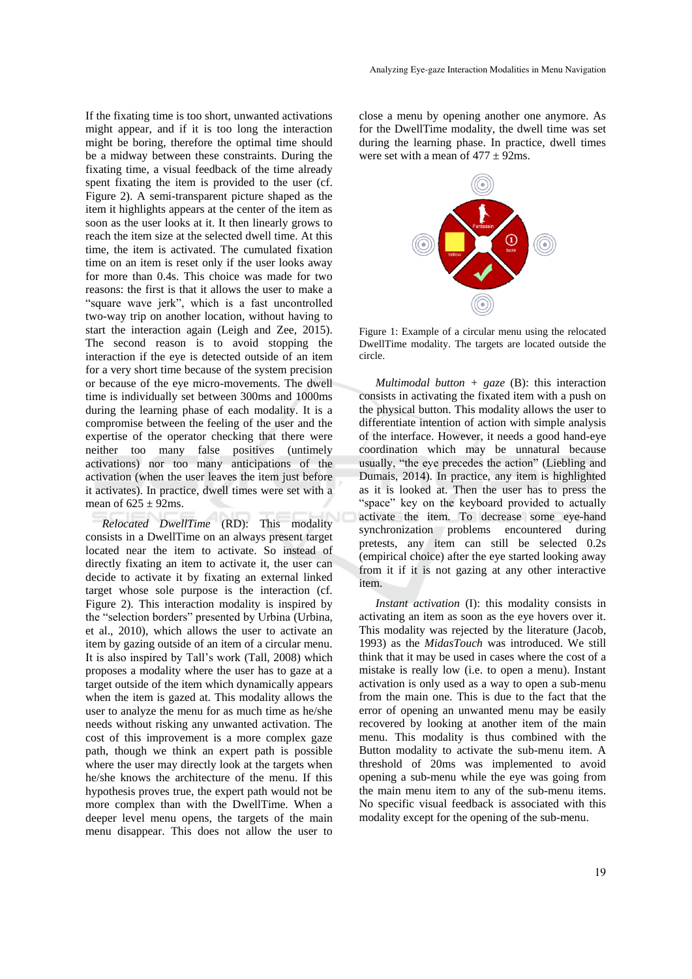If the fixating time is too short, unwanted activations might appear, and if it is too long the interaction might be boring, therefore the optimal time should be a midway between these constraints. During the fixating time, a visual feedback of the time already spent fixating the item is provided to the user (cf. Figure 2). A semi-transparent picture shaped as the item it highlights appears at the center of the item as soon as the user looks at it. It then linearly grows to reach the item size at the selected dwell time. At this time, the item is activated. The cumulated fixation time on an item is reset only if the user looks away for more than 0.4s. This choice was made for two reasons: the first is that it allows the user to make a "square wave jerk", which is a fast uncontrolled two-way trip on another location, without having to start the interaction again (Leigh and Zee, 2015). The second reason is to avoid stopping the interaction if the eye is detected outside of an item for a very short time because of the system precision or because of the eye micro-movements. The dwell time is individually set between 300ms and 1000ms during the learning phase of each modality. It is a compromise between the feeling of the user and the expertise of the operator checking that there were neither too many false positives (untimely activations) nor too many anticipations of the activation (when the user leaves the item just before it activates). In practice, dwell times were set with a mean of  $625 \pm 92$ ms.

*Relocated DwellTime* (RD): This modality consists in a DwellTime on an always present target located near the item to activate. So instead of directly fixating an item to activate it, the user can decide to activate it by fixating an external linked target whose sole purpose is the interaction (cf. Figure 2). This interaction modality is inspired by the "selection borders" presented by Urbina (Urbina, et al., 2010), which allows the user to activate an item by gazing outside of an item of a circular menu. It is also inspired by Tall's work (Tall, 2008) which proposes a modality where the user has to gaze at a target outside of the item which dynamically appears when the item is gazed at. This modality allows the user to analyze the menu for as much time as he/she needs without risking any unwanted activation. The cost of this improvement is a more complex gaze path, though we think an expert path is possible where the user may directly look at the targets when he/she knows the architecture of the menu. If this hypothesis proves true, the expert path would not be more complex than with the DwellTime. When a deeper level menu opens, the targets of the main menu disappear. This does not allow the user to

close a menu by opening another one anymore. As for the DwellTime modality, the dwell time was set during the learning phase. In practice, dwell times were set with a mean of  $477 \pm 92$ ms.



Figure 1: Example of a circular menu using the relocated DwellTime modality. The targets are located outside the circle.

*Multimodal button + gaze* (B): this interaction consists in activating the fixated item with a push on the physical button. This modality allows the user to differentiate intention of action with simple analysis of the interface. However, it needs a good hand-eye coordination which may be unnatural because usually, "the eye precedes the action" (Liebling and Dumais, 2014). In practice, any item is highlighted as it is looked at. Then the user has to press the "space" key on the keyboard provided to actually activate the item. To decrease some eye-hand synchronization problems encountered during pretests, any item can still be selected 0.2s (empirical choice) after the eye started looking away from it if it is not gazing at any other interactive item.

*Instant activation* (I): this modality consists in activating an item as soon as the eye hovers over it. This modality was rejected by the literature (Jacob, 1993) as the *MidasTouch* was introduced. We still think that it may be used in cases where the cost of a mistake is really low (i.e. to open a menu). Instant activation is only used as a way to open a sub-menu from the main one. This is due to the fact that the error of opening an unwanted menu may be easily recovered by looking at another item of the main menu. This modality is thus combined with the Button modality to activate the sub-menu item. A threshold of 20ms was implemented to avoid opening a sub-menu while the eye was going from the main menu item to any of the sub-menu items. No specific visual feedback is associated with this modality except for the opening of the sub-menu.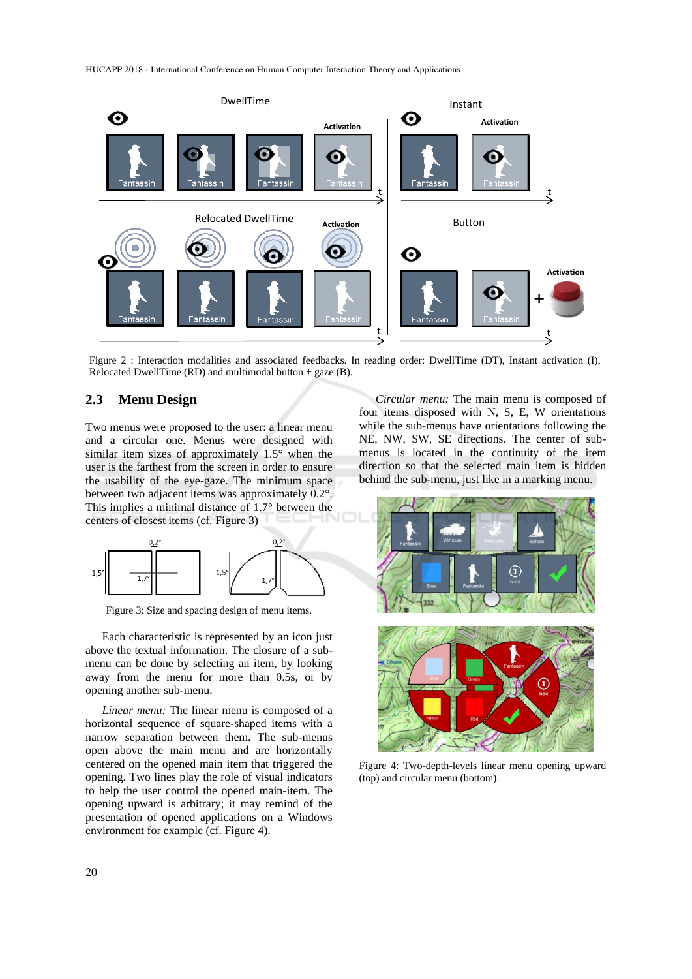HUCAPP 2018 - International Conference on Human Computer Interaction Theory and Applications



Figure 2 : Interaction modalities and associated feedbacks. In reading order: DwellTime (DT), Instant activation (I), Relocated DwellTime (RD) and multimodal button  $+$  gaze (B).

## **2.3 Menu Design**

Two menus were proposed to the user: a linear menu and a circular one. Menus were designed with similar item sizes of approximately 1.5° when the user is the farthest from the screen in order to ensure the usability of the eye-gaze. The minimum space between two adjacent items was approximately 0.2°. This implies a minimal distance of 1.7° between the centers of closest items (cf. Figure 3)



Figure 3: Size and spacing design of menu items.

Each characteristic is represented by an icon just above the textual information. The closure of a submenu can be done by selecting an item, by looking away from the menu for more than 0.5s, or by opening another sub-menu.

*Linear menu:* The linear menu is composed of a horizontal sequence of square-shaped items with a narrow separation between them. The sub-menus open above the main menu and are horizontally centered on the opened main item that triggered the opening. Two lines play the role of visual indicators to help the user control the opened main-item. The opening upward is arbitrary; it may remind of the presentation of opened applications on a Windows environment for example (cf. Figure 4).

*Circular menu:* The main menu is composed of four items disposed with N, S, E, W orientations while the sub-menus have orientations following the NE, NW, SW, SE directions. The center of submenus is located in the continuity of the item direction so that the selected main item is hidden behind the sub-menu, just like in a marking menu.



Figure 4: Two-depth-levels linear menu opening upward (top) and circular menu (bottom).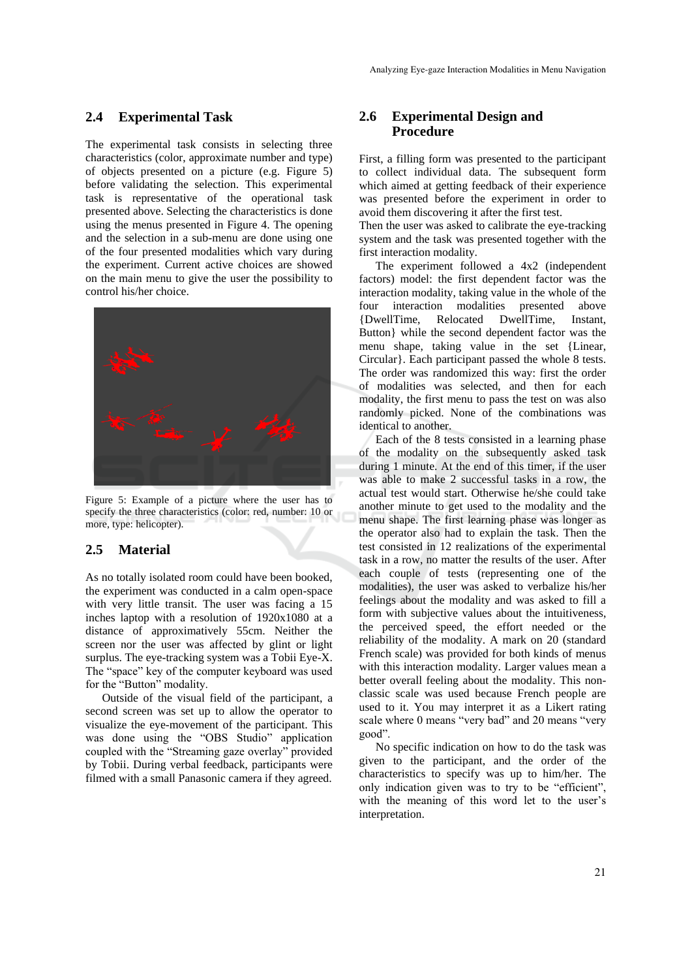#### **2.4 Experimental Task**

The experimental task consists in selecting three characteristics (color, approximate number and type) of objects presented on a picture (e.g. Figure 5) before validating the selection. This experimental task is representative of the operational task presented above. Selecting the characteristics is done using the menus presented in Figure 4. The opening and the selection in a sub-menu are done using one of the four presented modalities which vary during the experiment. Current active choices are showed on the main menu to give the user the possibility to control his/her choice.



Figure 5: Example of a picture where the user has to specify the three characteristics (color: red, number: 10 or more, type: helicopter).

#### **2.5 Material**

As no totally isolated room could have been booked, the experiment was conducted in a calm open-space with very little transit. The user was facing a 15 inches laptop with a resolution of 1920x1080 at a distance of approximatively 55cm. Neither the screen nor the user was affected by glint or light surplus. The eye-tracking system was a Tobii Eye-X. The "space" key of the computer keyboard was used for the "Button" modality.

Outside of the visual field of the participant, a second screen was set up to allow the operator to visualize the eye-movement of the participant. This was done using the "OBS Studio" application coupled with the "Streaming gaze overlay" provided by Tobii. During verbal feedback, participants were filmed with a small Panasonic camera if they agreed.

## **2.6 Experimental Design and Procedure**

First, a filling form was presented to the participant to collect individual data. The subsequent form which aimed at getting feedback of their experience was presented before the experiment in order to avoid them discovering it after the first test.

Then the user was asked to calibrate the eye-tracking system and the task was presented together with the first interaction modality.

The experiment followed a 4x2 (independent factors) model: the first dependent factor was the interaction modality, taking value in the whole of the four interaction modalities presented above {DwellTime, Relocated DwellTime, Instant, Button} while the second dependent factor was the menu shape, taking value in the set {Linear, Circular}. Each participant passed the whole 8 tests. The order was randomized this way: first the order of modalities was selected, and then for each modality, the first menu to pass the test on was also randomly picked. None of the combinations was identical to another.

Each of the 8 tests consisted in a learning phase of the modality on the subsequently asked task during 1 minute. At the end of this timer, if the user was able to make 2 successful tasks in a row, the actual test would start. Otherwise he/she could take another minute to get used to the modality and the menu shape. The first learning phase was longer as the operator also had to explain the task. Then the test consisted in 12 realizations of the experimental task in a row, no matter the results of the user. After each couple of tests (representing one of the modalities), the user was asked to verbalize his/her feelings about the modality and was asked to fill a form with subjective values about the intuitiveness, the perceived speed, the effort needed or the reliability of the modality. A mark on 20 (standard French scale) was provided for both kinds of menus with this interaction modality. Larger values mean a better overall feeling about the modality. This nonclassic scale was used because French people are used to it. You may interpret it as a Likert rating scale where 0 means "very bad" and 20 means "very good".

No specific indication on how to do the task was given to the participant, and the order of the characteristics to specify was up to him/her. The only indication given was to try to be "efficient", with the meaning of this word let to the user's interpretation.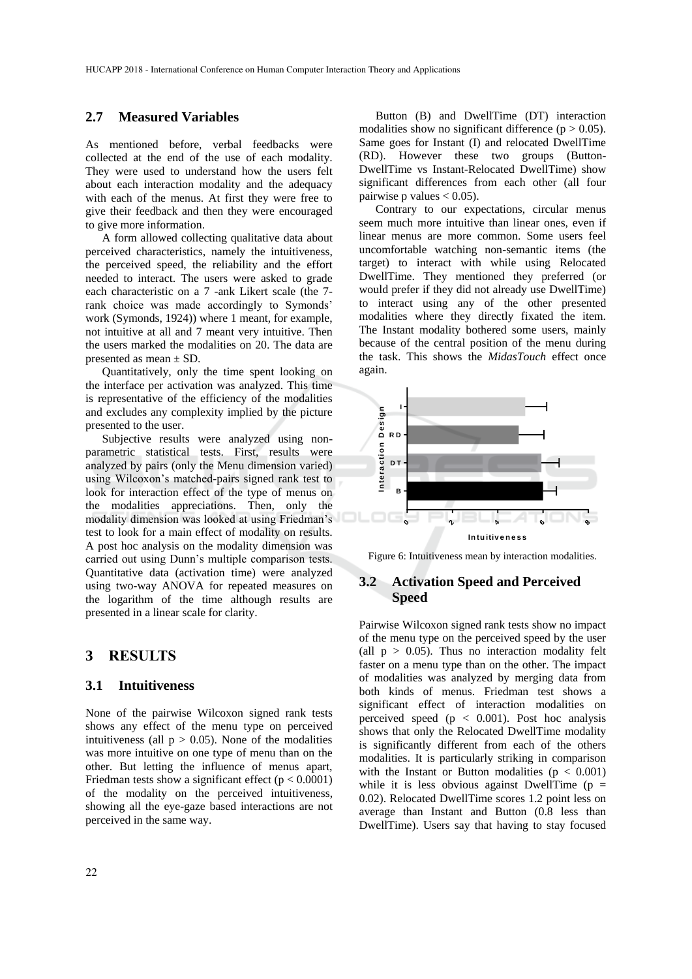#### **2.7 Measured Variables**

As mentioned before, verbal feedbacks were collected at the end of the use of each modality. They were used to understand how the users felt about each interaction modality and the adequacy with each of the menus. At first they were free to give their feedback and then they were encouraged to give more information.

A form allowed collecting qualitative data about perceived characteristics, namely the intuitiveness, the perceived speed, the reliability and the effort needed to interact. The users were asked to grade each characteristic on a 7 -ank Likert scale (the 7 rank choice was made accordingly to Symonds' work (Symonds, 1924)) where 1 meant, for example, not intuitive at all and 7 meant very intuitive. Then the users marked the modalities on 20. The data are presented as mean ± SD.

Quantitatively, only the time spent looking on the interface per activation was analyzed. This time is representative of the efficiency of the modalities and excludes any complexity implied by the picture presented to the user.

Subjective results were analyzed using nonparametric statistical tests. First, results were analyzed by pairs (only the Menu dimension varied) using Wilcoxon's matched-pairs signed rank test to look for interaction effect of the type of menus on the modalities appreciations. Then, only the modality dimension was looked at using Friedman's test to look for a main effect of modality on results. A post hoc analysis on the modality dimension was carried out using Dunn's multiple comparison tests. Quantitative data (activation time) were analyzed using two-way ANOVA for repeated measures on the logarithm of the time although results are presented in a linear scale for clarity.

## **3 RESULTS**

#### **3.1 Intuitiveness**

None of the pairwise Wilcoxon signed rank tests shows any effect of the menu type on perceived intuitiveness (all  $p > 0.05$ ). None of the modalities was more intuitive on one type of menu than on the other. But letting the influence of menus apart, Friedman tests show a significant effect ( $p < 0.0001$ ) of the modality on the perceived intuitiveness, showing all the eye-gaze based interactions are not perceived in the same way.

Button (B) and DwellTime (DT) interaction modalities show no significant difference ( $p > 0.05$ ). Same goes for Instant (I) and relocated DwellTime (RD). However these two groups (Button-DwellTime vs Instant-Relocated DwellTime) show significant differences from each other (all four pairwise p values  $< 0.05$ ).

Contrary to our expectations, circular menus seem much more intuitive than linear ones, even if linear menus are more common. Some users feel uncomfortable watching non-semantic items (the target) to interact with while using Relocated DwellTime. They mentioned they preferred (or would prefer if they did not already use DwellTime) to interact using any of the other presented modalities where they directly fixated the item. The Instant modality bothered some users, mainly because of the central position of the menu during the task. This shows the *MidasTouch* effect once again.



Figure 6: Intuitiveness mean by interaction modalities.

#### **3.2 Activation Speed and Perceived Speed**

Pairwise Wilcoxon signed rank tests show no impact of the menu type on the perceived speed by the user (all  $p > 0.05$ ). Thus no interaction modality felt faster on a menu type than on the other. The impact of modalities was analyzed by merging data from both kinds of menus. Friedman test shows a significant effect of interaction modalities on perceived speed ( $p < 0.001$ ). Post hoc analysis shows that only the Relocated DwellTime modality is significantly different from each of the others modalities. It is particularly striking in comparison with the Instant or Button modalities ( $p < 0.001$ ) while it is less obvious against DwellTime ( $p =$ 0.02). Relocated DwellTime scores 1.2 point less on average than Instant and Button (0.8 less than DwellTime). Users say that having to stay focused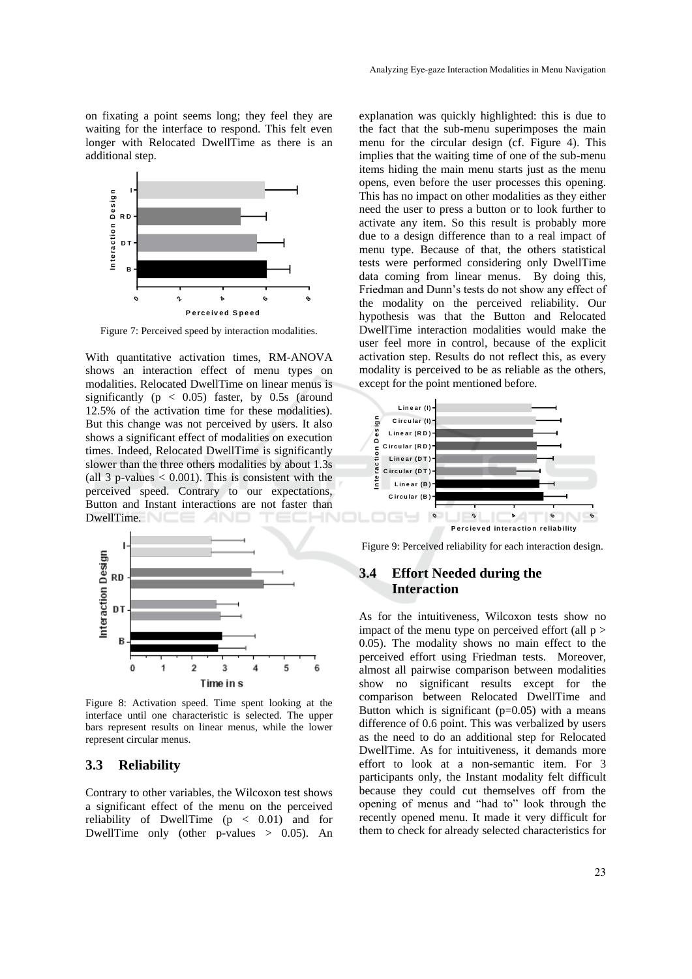on fixating a point seems long; they feel they are waiting for the interface to respond. This felt even longer with Relocated DwellTime as there is an additional step.



Figure 7: Perceived speed by interaction modalities.

With quantitative activation times, RM-ANOVA shows an interaction effect of menu types on modalities. Relocated DwellTime on linear menus is significantly ( $p < 0.05$ ) faster, by 0.5s (around 12.5% of the activation time for these modalities). But this change was not perceived by users. It also shows a significant effect of modalities on execution times. Indeed, Relocated DwellTime is significantly slower than the three others modalities by about 1.3s (all 3 p-values  $< 0.001$ ). This is consistent with the perceived speed. Contrary to our expectations, Button and Instant interactions are not faster than DwellTime.



Figure 8: Activation speed. Time spent looking at the interface until one characteristic is selected. The upper bars represent results on linear menus, while the lower represent circular menus.

#### **3.3 Reliability**

Contrary to other variables, the Wilcoxon test shows a significant effect of the menu on the perceived reliability of DwellTime  $(p < 0.01)$  and for DwellTime only (other p-values  $> 0.05$ ). An

explanation was quickly highlighted: this is due to the fact that the sub-menu superimposes the main menu for the circular design (cf. Figure 4). This implies that the waiting time of one of the sub-menu items hiding the main menu starts just as the menu opens, even before the user processes this opening. This has no impact on other modalities as they either need the user to press a button or to look further to activate any item. So this result is probably more due to a design difference than to a real impact of menu type. Because of that, the others statistical tests were performed considering only DwellTime data coming from linear menus. By doing this, Friedman and Dunn's tests do not show any effect of the modality on the perceived reliability. Our hypothesis was that the Button and Relocated DwellTime interaction modalities would make the user feel more in control, because of the explicit activation step. Results do not reflect this, as every modality is perceived to be as reliable as the others, except for the point mentioned before.



Figure 9: Perceived reliability for each interaction design.

## **3.4 Effort Needed during the Interaction**

As for the intuitiveness, Wilcoxon tests show no impact of the menu type on perceived effort (all  $p$  > 0.05). The modality shows no main effect to the perceived effort using Friedman tests. Moreover, almost all pairwise comparison between modalities show no significant results except for the comparison between Relocated DwellTime and Button which is significant  $(p=0.05)$  with a means difference of 0.6 point. This was verbalized by users as the need to do an additional step for Relocated DwellTime. As for intuitiveness, it demands more effort to look at a non-semantic item. For 3 participants only, the Instant modality felt difficult because they could cut themselves off from the opening of menus and "had to" look through the recently opened menu. It made it very difficult for them to check for already selected characteristics for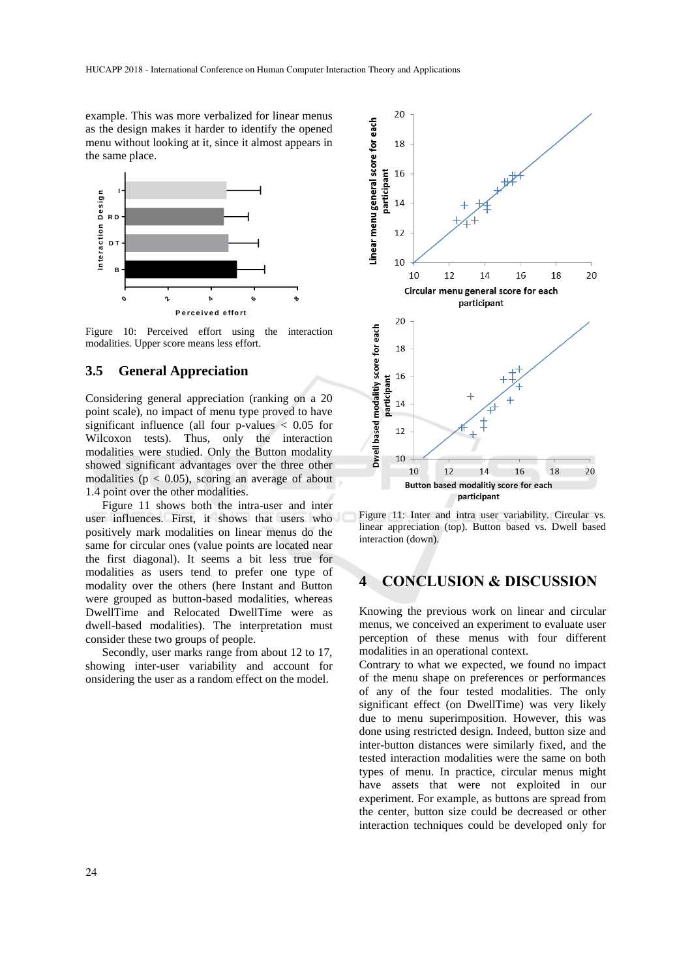example. This was more verbalized for linear menus as the design makes it harder to identify the opened menu without looking at it, since it almost appears in the same place.



Figure 10: Perceived effort using the interaction modalities. Upper score means less effort.

### **3.5 General Appreciation**

Considering general appreciation (ranking on a 20 point scale), no impact of menu type proved to have significant influence (all four p-values < 0.05 for Wilcoxon tests). Thus, only the interaction modalities were studied. Only the Button modality showed significant advantages over the three other modalities ( $p < 0.05$ ), scoring an average of about 1.4 point over the other modalities.

Figure 11 shows both the intra-user and inter user influences. First, it shows that users who positively mark modalities on linear menus do the same for circular ones (value points are located near the first diagonal). It seems a bit less true for modalities as users tend to prefer one type of modality over the others (here Instant and Button were grouped as button-based modalities, whereas DwellTime and Relocated DwellTime were as dwell-based modalities). The interpretation must consider these two groups of people.

Secondly, user marks range from about 12 to 17, showing inter-user variability and account for onsidering the user as a random effect on the model.



Figure 11: Inter and intra user variability. Circular vs. linear appreciation (top). Button based vs. Dwell based interaction (down).

## **4 CONCLUSION & DISCUSSION**

Knowing the previous work on linear and circular menus, we conceived an experiment to evaluate user perception of these menus with four different modalities in an operational context.

Contrary to what we expected, we found no impact of the menu shape on preferences or performances of any of the four tested modalities. The only significant effect (on DwellTime) was very likely due to menu superimposition. However, this was done using restricted design. Indeed, button size and inter-button distances were similarly fixed, and the tested interaction modalities were the same on both types of menu. In practice, circular menus might have assets that were not exploited in our experiment. For example, as buttons are spread from the center, button size could be decreased or other interaction techniques could be developed only for